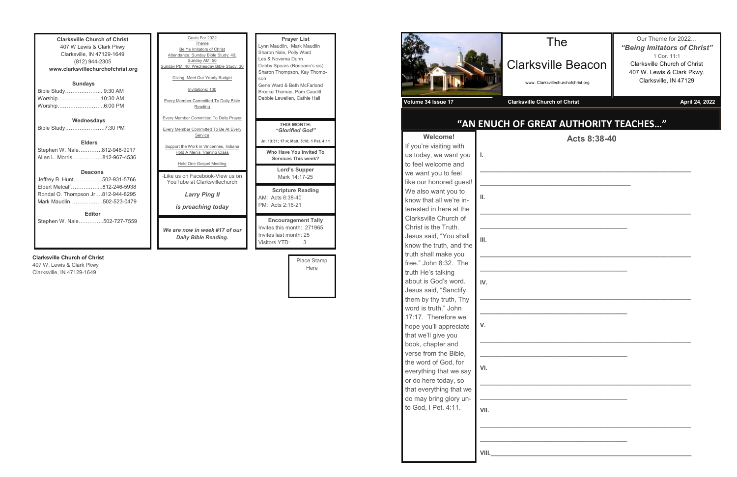**Clarksville Church of Christ** 407 W Lewis & Clark Pkwy Clarksville, IN 47129-1649 (812) 944-2305 **www.clarksvillechurchofchrist.org Sundays** Bible Study………………... 9:30 AM Worship……………………10:30 AM Worship……………………..6:00 PM **Wednesdays** Bible Study………………….7:30 PM **Elders** Stephen W. Nale………….812-948-9917 Allen L. Morris……………..812-967-4536 **Deacons** Jeffrey B. Hunt…………….502-931-5766 Elbert Metcalf……………...812-246-5938 Rondal O. Thompson Jr….812-944-8295 Mark Maudlin………………502-523-0479

**Editor**

Stephen W. Nale…………..502-727-7559

#### **Clarksville Church of Christ**

407 W. Lewis & Clark Pkwy Clarksville, IN 47129-1649

| Goals For 2022<br>Theme<br>Be Ye Imitators of Christ<br>Attendance: Sunday Bible Study: 40;<br>Sunday AM: 50<br>Sunday PM: 40; Wednesday Bible Study: 30<br>Giving: Meet Our Yearly Budget<br>Invitations: 130<br><b>Every Member Committed To Daily Bible</b><br>Reading | <b>Prayer List</b><br>Lynn Maudlin, Mark Maudlin<br>Sharon Nale, Polly Ward<br>Les & Novema Dunn<br>Debby Spears (Roseann's sis)<br>Sharon Thompson, Kay Thomp-<br>son<br>Gene Ward & Beth McFarland<br>Brooke Thomas, Pam Caudill<br>Debbie Lewellen, Cathie Hall |
|---------------------------------------------------------------------------------------------------------------------------------------------------------------------------------------------------------------------------------------------------------------------------|--------------------------------------------------------------------------------------------------------------------------------------------------------------------------------------------------------------------------------------------------------------------|
| <b>Every Member Committed To Daily Prayer</b>                                                                                                                                                                                                                             | <b>THIS MONTH:</b>                                                                                                                                                                                                                                                 |
| <b>Every Member Committed To Be At Every</b><br>Service                                                                                                                                                                                                                   | "Glorified God"                                                                                                                                                                                                                                                    |
| Support the Work in Vincennes, Indiana                                                                                                                                                                                                                                    | Jn. 13:31; 17:4; Matt. 5:16; 1 Pet. 4:11                                                                                                                                                                                                                           |
| Hold A Men's Training Class                                                                                                                                                                                                                                               | Who Have You Invited To<br><b>Services This week?</b>                                                                                                                                                                                                              |
| Hold One Gospel Meeting                                                                                                                                                                                                                                                   | Lord's Supper                                                                                                                                                                                                                                                      |
| - like us on Facebook-View us on<br>YouTube at Clarksvillechurch                                                                                                                                                                                                          | Mark 14:17-25                                                                                                                                                                                                                                                      |
| Larry Ping II<br>is preaching today                                                                                                                                                                                                                                       | <b>Scripture Reading</b><br>AM: Acts 8:38-40<br>PM: Acts 2:16-21                                                                                                                                                                                                   |
| We are now in week #17 of our<br><b>Daily Bible Reading.</b>                                                                                                                                                                                                              | <b>Encouragement Tally</b><br>Invites this month: 271965<br>Invites last month: 25<br><b>Visitors YTD:</b><br>3                                                                                                                                                    |

Place Stamp Here



#### **"AN ENUCH OF GREAT AUTHORITY TEACHES…"**

### The

## Clarksville Beacon

www. Clarksvillechurchofchrist.org

Our Theme for 2022…

**Welcome!** If you're visiting with us today, we want you to feel welcome and we want you to feel like our honored guest! We also want you to know that all we're interested in here at the Clarksville Church of Christ is the Truth. Jesus said, "You shall know the truth, and the truth shall make you free." John 8:32. The truth He's talking about is God's word. Jesus said, "Sanctify them by thy truth, Thy word is truth." John 17:17. Therefore we hope you'll appreciate that we'll give you book, chapter and verse from the Bible, the word of God, for everything that we say or do here today, so that everything that we do may bring glory unto God, I Pet. 4:11. **I. II. III. IV. V. VI. VII.** *"Being Imitators of Christ"* 1 Cor. 11:1 Clarksville Church of Christ 407 W. Lewis & Clark Pkwy. Clarksville, IN 47129

**Volume 34 Issue 17 Clarksville Church of Christ April 24, 2022**

**Acts 8:38-40**

**\_\_\_\_\_\_\_\_\_\_\_\_\_\_\_\_\_\_\_\_\_\_\_\_\_\_\_\_\_\_\_\_\_\_\_\_\_\_\_\_\_\_\_\_\_\_\_\_\_\_\_\_\_\_\_\_\_\_\_\_\_\_\_**

**\_\_\_\_\_\_\_\_\_\_\_\_\_\_\_\_\_\_\_\_\_\_\_\_\_\_\_\_\_\_\_\_\_\_\_\_\_\_\_\_\_\_\_\_\_**

**\_\_\_\_\_\_\_\_\_\_\_\_\_\_\_\_\_\_\_\_\_\_\_\_\_\_\_\_\_\_\_\_\_\_\_\_\_\_\_\_\_\_\_\_\_\_\_\_\_\_\_\_\_\_\_\_\_\_\_\_\_\_\_**

**\_\_\_\_\_\_\_\_\_\_\_\_\_\_\_\_\_\_\_\_\_\_\_\_\_\_\_\_\_\_\_\_\_\_\_\_\_\_\_\_\_\_\_\_**

**\_\_\_\_\_\_\_\_\_\_\_\_\_\_\_\_\_\_\_\_\_\_\_\_\_\_\_\_\_\_\_\_\_\_\_\_\_\_\_\_\_\_\_\_\_\_\_\_\_\_\_\_\_\_\_\_\_\_\_\_\_\_\_**

**\_\_\_\_\_\_\_\_\_\_\_\_\_\_\_\_\_\_\_\_\_\_\_\_\_\_\_\_\_\_\_\_\_\_\_\_\_\_\_\_\_\_\_\_**

**\_\_\_\_\_\_\_\_\_\_\_\_\_\_\_\_\_\_\_\_\_\_\_\_\_\_\_\_\_\_\_\_\_\_\_\_\_\_\_\_\_\_\_\_\_\_\_\_\_\_\_\_\_\_\_\_\_\_\_\_\_\_\_**

**\_\_\_\_\_\_\_\_\_\_\_\_\_\_\_\_\_\_\_\_\_\_\_\_\_\_\_\_\_\_\_\_\_\_\_\_\_\_\_\_\_\_\_\_**

**\_\_\_\_\_\_\_\_\_\_\_\_\_\_\_\_\_\_\_\_\_\_\_\_\_\_\_\_\_\_\_\_\_\_\_\_\_\_\_\_\_\_\_\_\_\_\_\_\_\_\_\_\_\_\_\_\_\_\_\_\_\_\_**

**\_\_\_\_\_\_\_\_\_\_\_\_\_\_\_\_\_\_\_\_\_\_\_\_\_\_\_\_\_\_\_\_\_\_\_\_\_\_\_\_\_\_\_\_**

**\_\_\_\_\_\_\_\_\_\_\_\_\_\_\_\_\_\_\_\_\_\_\_\_\_\_\_\_\_\_\_\_\_\_\_\_\_\_\_\_\_\_\_\_\_\_\_\_\_\_\_\_\_\_\_\_\_\_\_\_\_\_\_**

**\_\_\_\_\_\_\_\_\_\_\_\_\_\_\_\_\_\_\_\_\_\_\_\_\_\_\_\_\_\_\_\_\_\_\_\_\_\_\_\_\_\_\_\_**

**\_\_\_\_\_\_\_\_\_\_\_\_\_\_\_\_\_\_\_\_\_\_\_\_\_\_\_\_\_\_\_\_\_\_\_\_\_\_\_\_\_\_\_\_\_\_\_\_\_\_\_\_\_\_\_\_\_\_\_\_\_\_\_**

**\_\_\_\_\_\_\_\_\_\_\_\_\_\_\_\_\_\_\_\_\_\_\_\_\_\_\_\_\_\_\_\_\_\_\_\_\_\_\_\_\_\_\_\_**